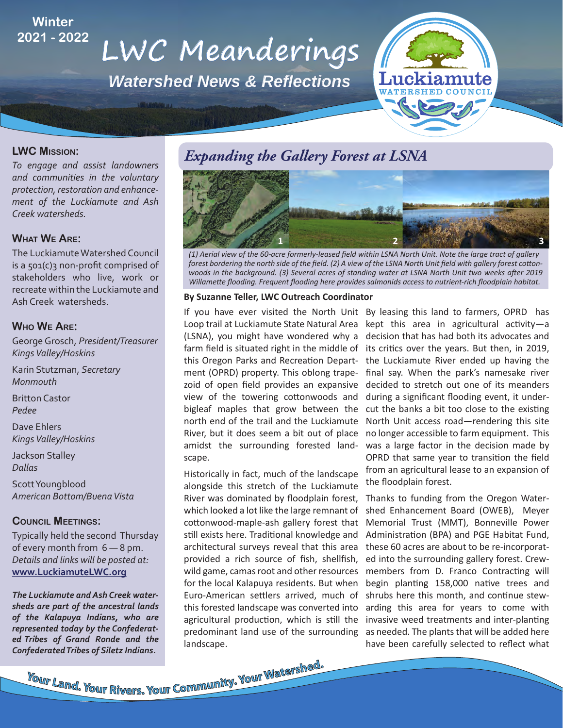### **Winter 2021 - 2022**

# **LWC Meanderings**

*Watershed News & Reflections*



#### **LWC MISSION:**

*To engage and assist landowners and communities in the voluntary protection, restoration and enhancement of the Luckiamute and Ash Creek watersheds.*

#### **WHAT WE ARE:**

The Luckiamute Watershed Council is a  $501(c)3$  non-profit comprised of stakeholders who live, work or recreate within the Luckiamute and Ash Creek watersheds.

#### **WHO WE ARE:**

George Grosch, *President/Treasurer Kings Valley/Hoskins*

Karin Stutzman, *Secretary Monmouth*

Britton Castor *Pedee*

Dave Ehlers *Kings Valley/Hoskins*

Jackson Stalley *Dallas*

Scott Youngblood *American Bottom/Buena Vista*

#### **COUNCIL MEETINGS:**

Typically held the second Thursday of every month from 6 — 8 pm. *Details and links will be posted at:*  **www.LuckiamuteLWC.org**

*The Luckiamute and Ash Creek watersheds are part of the ancestral lands of the Kalapuya Indians, who are represented today by the Confederated Tribes of Grand Ronde and the Confederated Tribes of Siletz Indians.*

### *Expanding the Gallery Forest at LSNA*



*(1) Aerial view of the 60-acre formerly-leased field within LSNA North Unit. Note the large tract of gallery forest bordering the north side of the field. (2) A view of the LSNA North Unit field with gallery forest cottonwoods in the background. (3) Several acres of standing water at LSNA North Unit two weeks after 2019 Willamette flooding. Frequent flooding here provides salmonids access to nutrient-rich floodplain habitat.* 

#### **By Suzanne Teller, LWC Outreach Coordinator**

Loop trail at Luckiamute State Natural Area (LSNA), you might have wondered why a farm field is situated right in the middle of this Oregon Parks and Recreation Department (OPRD) property. This oblong trapezoid of open field provides an expansive view of the towering cottonwoods and bigleaf maples that grow between the north end of the trail and the Luckiamute River, but it does seem a bit out of place amidst the surrounding forested landscape.

Historically in fact, much of the landscape alongside this stretch of the Luckiamute River was dominated by floodplain forest, which looked a lot like the large remnant of cottonwood-maple-ash gallery forest that still exists here. Traditional knowledge and architectural surveys reveal that this area provided a rich source of fish, shellfish, wild game, camas root and other resources for the local Kalapuya residents. But when Euro-American settlers arrived, much of this forested landscape was converted into agricultural production, which is still the predominant land use of the surrounding landscape.

If you have ever visited the North Unit By leasing this land to farmers, OPRD has kept this area in agricultural activity-a decision that has had both its advocates and its critics over the years. But then, in 2019, the Luckiamute River ended up having the final say. When the park's namesake river decided to stretch out one of its meanders during a significant flooding event, it undercut the banks a bit too close to the existing North Unit access road—rendering this site no longer accessible to farm equipment. This was a large factor in the decision made by OPRD that same year to transition the field from an agricultural lease to an expansion of the floodplain forest.

> Thanks to funding from the Oregon Watershed Enhancement Board (OWEB), Meyer Memorial Trust (MMT), Bonneville Power Administration (BPA) and PGE Habitat Fund, these 60 acres are about to be re-incorporated into the surrounding gallery forest. Crewmembers from D. Franco Contracting will begin planting 158,000 native trees and shrubs here this month, and continue stewarding this area for years to come with invasive weed treatments and inter-planting as needed. The plants that will be added here have been carefully selected to reflect what

**Your Land. Your Rivers. Your Community. Your Watershed.**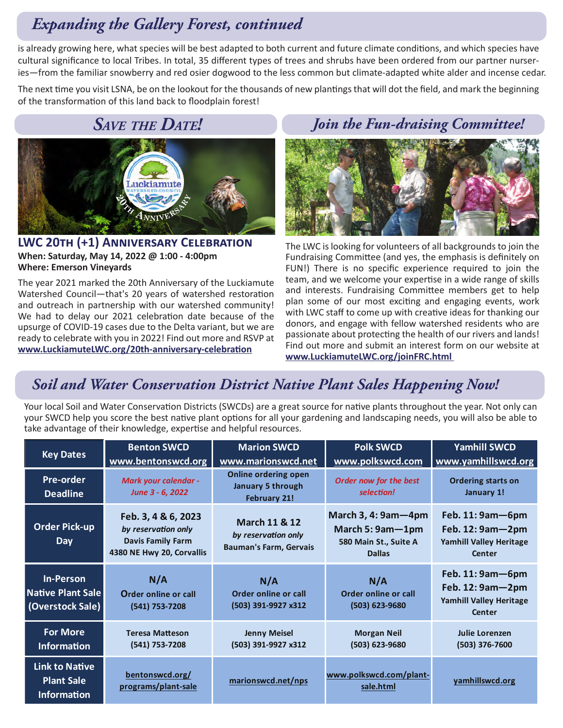### *Expanding the Gallery Forest, continued*

is already growing here, what species will be best adapted to both current and future climate conditions, and which species have cultural significance to local Tribes. In total, 35 different types of trees and shrubs have been ordered from our partner nurseries—from the familiar snowberry and red osier dogwood to the less common but climate-adapted white alder and incense cedar.

The next time you visit LSNA, be on the lookout for the thousands of new plantings that will dot the field, and mark the beginning of the transformation of this land back to floodplain forest!

### *SAVE THE DATE!*



LWC 20TH (+1) ANNIVERSARY CELEBRATION **When: Saturday, May 14, 2022 @ 1:00 - 4:00pm Where: Emerson Vineyards**

The year 2021 marked the 20th Anniversary of the Luckiamute Watershed Council—that's 20 years of watershed restoration and outreach in partnership with our watershed community! We had to delay our 2021 celebration date because of the upsurge of COVID-19 cases due to the Delta variant, but we are ready to celebrate with you in 2022! Find out more and RSVP at www.LuckiamuteLWC.org/20th-anniversary-celebration

### *Join the Fun-draising Committee!*



The LWC is looking for volunteers of all backgrounds to join the Fundraising Committee (and yes, the emphasis is definitely on FUN!) There is no specific experience required to join the team, and we welcome your expertise in a wide range of skills and interests. Fundraising Committee members get to help plan some of our most exciting and engaging events, work with LWC staff to come up with creative ideas for thanking our donors, and engage with fellow watershed residents who are passionate about protecting the health of our rivers and lands! Find out more and submit an interest form on our website at **www.LuckiamuteLWC.org/joinFRC.html** 

### *Soil and Water Conservation District Native Plant Sales Happening Now!*

Your local Soil and Water Conservation Districts (SWCDs) are a great source for native plants throughout the year. Not only can your SWCD help you score the best native plant options for all your gardening and landscaping needs, you will also be able to take advantage of their knowledge, expertise and helpful resources.

| <b>Key Dates</b>                                                 | <b>Benton SWCD</b><br>www.bentonswcd.org                                                            | <b>Marion SWCD</b><br>www.marionswcd.net                                         | <b>Polk SWCD</b><br>www.polkswcd.com                                                     | <b>Yamhill SWCD</b><br>www.yamhillswcd.org                                          |
|------------------------------------------------------------------|-----------------------------------------------------------------------------------------------------|----------------------------------------------------------------------------------|------------------------------------------------------------------------------------------|-------------------------------------------------------------------------------------|
| <b>Pre-order</b><br><b>Deadline</b>                              | <b>Mark your calendar -</b><br>June 3 - 6, 2022                                                     | <b>Online ordering open</b><br>January 5 through<br><b>February 21!</b>          | Order now for the best<br>selection!                                                     | <b>Ordering starts on</b><br>January 1!                                             |
| <b>Order Pick-up</b><br><b>Day</b>                               | Feb. 3, 4 & 6, 2023<br>by reservation only<br><b>Davis Family Farm</b><br>4380 NE Hwy 20, Corvallis | <b>March 11 &amp; 12</b><br>by reservation only<br><b>Bauman's Farm, Gervais</b> | March $3, 4: 9$ am $-4$ pm<br>March 5: 9am-1pm<br>580 Main St., Suite A<br><b>Dallas</b> | Feb. $11:9am - 6pm$<br>Feb. 12: 9am-2pm<br><b>Yamhill Valley Heritage</b><br>Center |
| <b>In-Person</b><br>Native Plant Sale<br>(Overstock Sale)        | N/A<br>Order online or call<br>(541) 753-7208                                                       | N/A<br>Order online or call<br>(503) 391-9927 x312                               | N/A<br>Order online or call<br>(503) 623-9680                                            | Feb. 11: 9am-6pm<br>Feb. 12: 9am-2pm<br><b>Yamhill Valley Heritage</b><br>Center    |
| <b>For More</b><br><b>Information</b>                            | <b>Teresa Matteson</b><br>(541) 753-7208                                                            | <b>Jenny Meisel</b><br>(503) 391-9927 x312                                       | <b>Morgan Neil</b><br>(503) 623-9680                                                     | Julie Lorenzen<br>$(503)$ 376-7600                                                  |
| <b>Link to Native</b><br><b>Plant Sale</b><br><b>Information</b> | bentonswcd.org/<br>programs/plant-sale                                                              | marionswcd.net/nps                                                               | www.polkswcd.com/plant-<br>sale.html                                                     | yamhillswcd.org                                                                     |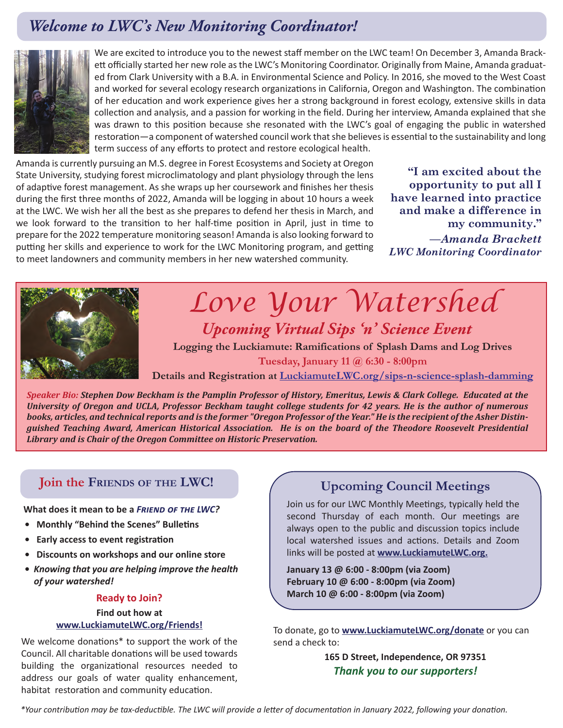### *Welcome to LWC's New Monitoring Coordinator!*



was drawn to this position because she resonated with the LWC's goal of engaging the public in watershed We are excited to introduce you to the newest staff member on the LWC team! On December 3, Amanda Brackett officially started her new role as the LWC's Monitoring Coordinator. Originally from Maine, Amanda graduated from Clark University with a B.A. in Environmental Science and Policy. In 2016, she moved to the West Coast and worked for several ecology research organizations in California, Oregon and Washington. The combination of her education and work experience gives her a strong background in forest ecology, extensive skills in data collection and analysis, and a passion for working in the field. During her interview, Amanda explained that she restoration—a component of watershed council work that she believes is essential to the sustainability and long term success of any efforts to protect and restore ecological health.

Amanda is currently pursuing an M.S. degree in Forest Ecosystems and Society at Oregon State University, studying forest microclimatology and plant physiology through the lens of adaptive forest management. As she wraps up her coursework and finishes her thesis during the first three months of 2022, Amanda will be logging in about 10 hours a week at the LWC. We wish her all the best as she prepares to defend her thesis in March, and we look forward to the transition to her half-time position in April, just in time to prepare for the 2022 temperature monitoring season! Amanda is also looking forward to putting her skills and experience to work for the LWC Monitoring program, and getting to meet landowners and community members in her new watershed community.

**"I am excited about the opportunity to put all I have learned into practice and make a difference in my community."**  *—Amanda Brackett LWC Monitoring Coordinator*



## *Love Your Watershed Upcoming Virtual Sips 'n' Science Event*

**Logging the Luckiamute: Ramifications of Splash Dams and Log Drives Tuesday, January 11 @ 6:30 - 8:00pm**

**Details and Registration at LuckiamuteLWC.org/sips-n-science-splash-damming**

*Speaker Bio: Stephen Dow Beckham is the Pamplin Professor of History, Emeritus, Lewis & Clark College. Educated at the University of Oregon and UCLA, Professor Beckham taught college students for 42 years. He is the author of numerous books, articles, and technical reports and is the former "Oregon Professor of the Year." He is the recipient of the Asher Distinguished Teaching Award, American Historical Association. He is on the board of the Theodore Roosevelt Presidential Library and is Chair of the Oregon Committee on Historic Preservation.* 

### **Join the FRIENDS OF THE LWC! Upcoming Council Meetings**

**What does it mean to be a FRIEND OF THE LWC?** 

- **Monthly "Behind the Scenes" Bulletins**
- **•** Early access to event registration
- **Discounts on workshops and our online store**
- *Knowing that you are helping improve the health of your watershed!*

#### **Ready to Join?**

#### **Find out how at www.LuckiamuteLWC.org/Friends!**

We welcome donations\* to support the work of the Council. All charitable donations will be used towards building the organizational resources needed to address our goals of water quality enhancement, habitat restoration and community education.

Join us for our LWC Monthly Meetings, typically held the second Thursday of each month. Our meetings are always open to the public and discussion topics include local watershed issues and actions. Details and Zoom links will be posted at **www.LuckiamuteLWC.org.**

**January 13 @ 6:00 - 8:00pm (via Zoom) February 10 @ 6:00 - 8:00pm (via Zoom) March 10 @ 6:00 - 8:00pm (via Zoom)**

To donate, go to **www.LuckiamuteLWC.org/donate** or you can send a check to:

> **165 D Street, Independence, OR 97351**  *Thank you to our supporters!*

*\*Your contribution may be tax-deductible. The LWC will provide a letter of documentation in January 2022, following your donation.*